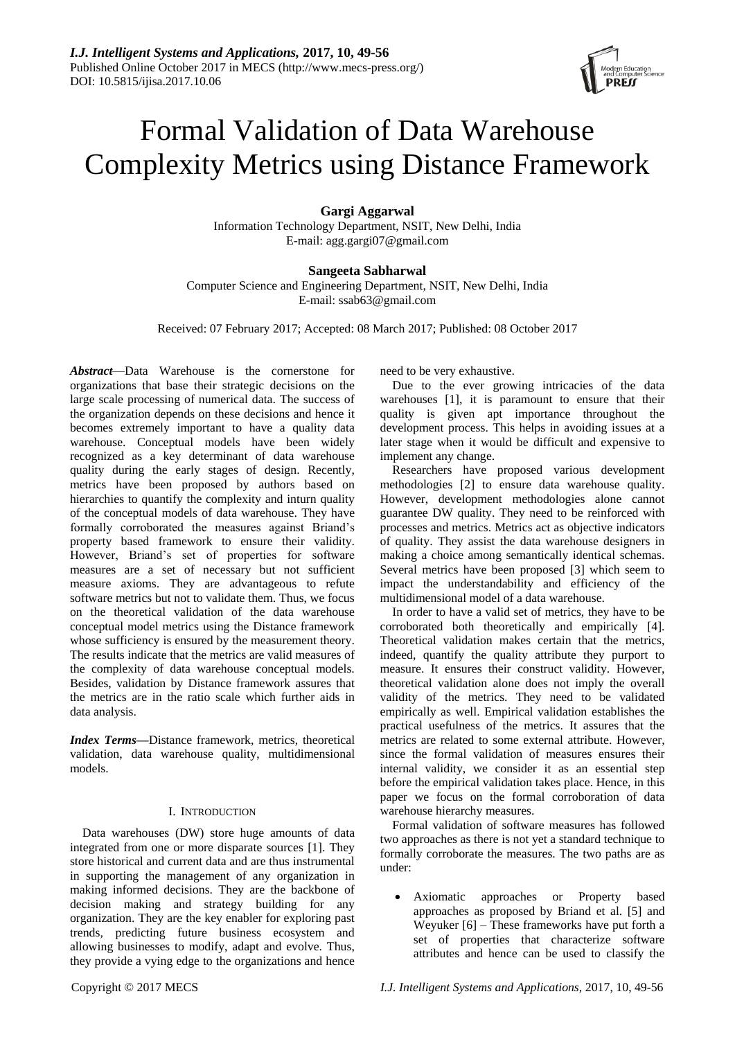

# Formal Validation of Data Warehouse Complexity Metrics using Distance Framework

## **Gargi Aggarwal**

Information Technology Department, NSIT, New Delhi, India E-mail: agg.gargi07@gmail.com

## **Sangeeta Sabharwal**

Computer Science and Engineering Department, NSIT, New Delhi, India E-mail: ssab63@gmail.com

Received: 07 February 2017; Accepted: 08 March 2017; Published: 08 October 2017

*Abstract*—Data Warehouse is the cornerstone for organizations that base their strategic decisions on the large scale processing of numerical data. The success of the organization depends on these decisions and hence it becomes extremely important to have a quality data warehouse. Conceptual models have been widely recognized as a key determinant of data warehouse quality during the early stages of design. Recently, metrics have been proposed by authors based on hierarchies to quantify the complexity and inturn quality of the conceptual models of data warehouse. They have formally corroborated the measures against Briand's property based framework to ensure their validity. However, Briand's set of properties for software measures are a set of necessary but not sufficient measure axioms. They are advantageous to refute software metrics but not to validate them. Thus, we focus on the theoretical validation of the data warehouse conceptual model metrics using the Distance framework whose sufficiency is ensured by the measurement theory. The results indicate that the metrics are valid measures of the complexity of data warehouse conceptual models. Besides, validation by Distance framework assures that the metrics are in the ratio scale which further aids in data analysis.

*Index Terms***—**Distance framework, metrics, theoretical validation, data warehouse quality, multidimensional models.

## I. INTRODUCTION

Data warehouses (DW) store huge amounts of data integrated from one or more disparate sources [1]. They store historical and current data and are thus instrumental in supporting the management of any organization in making informed decisions. They are the backbone of decision making and strategy building for any organization. They are the key enabler for exploring past trends, predicting future business ecosystem and allowing businesses to modify, adapt and evolve. Thus, they provide a vying edge to the organizations and hence

need to be very exhaustive.

Due to the ever growing intricacies of the data warehouses [1], it is paramount to ensure that their quality is given apt importance throughout the development process. This helps in avoiding issues at a later stage when it would be difficult and expensive to implement any change.

Researchers have proposed various development methodologies [2] to ensure data warehouse quality. However, development methodologies alone cannot guarantee DW quality. They need to be reinforced with processes and metrics. Metrics act as objective indicators of quality. They assist the data warehouse designers in making a choice among semantically identical schemas. Several metrics have been proposed [3] which seem to impact the understandability and efficiency of the multidimensional model of a data warehouse.

In order to have a valid set of metrics, they have to be corroborated both theoretically and empirically [4]. Theoretical validation makes certain that the metrics, indeed, quantify the quality attribute they purport to measure. It ensures their construct validity. However, theoretical validation alone does not imply the overall validity of the metrics. They need to be validated empirically as well. Empirical validation establishes the practical usefulness of the metrics. It assures that the metrics are related to some external attribute. However, since the formal validation of measures ensures their internal validity, we consider it as an essential step before the empirical validation takes place. Hence, in this paper we focus on the formal corroboration of data warehouse hierarchy measures.

Formal validation of software measures has followed two approaches as there is not yet a standard technique to formally corroborate the measures. The two paths are as under:

 Axiomatic approaches or Property based approaches as proposed by Briand et al. [5] and Weyuker [6] – These frameworks have put forth a set of properties that characterize software attributes and hence can be used to classify the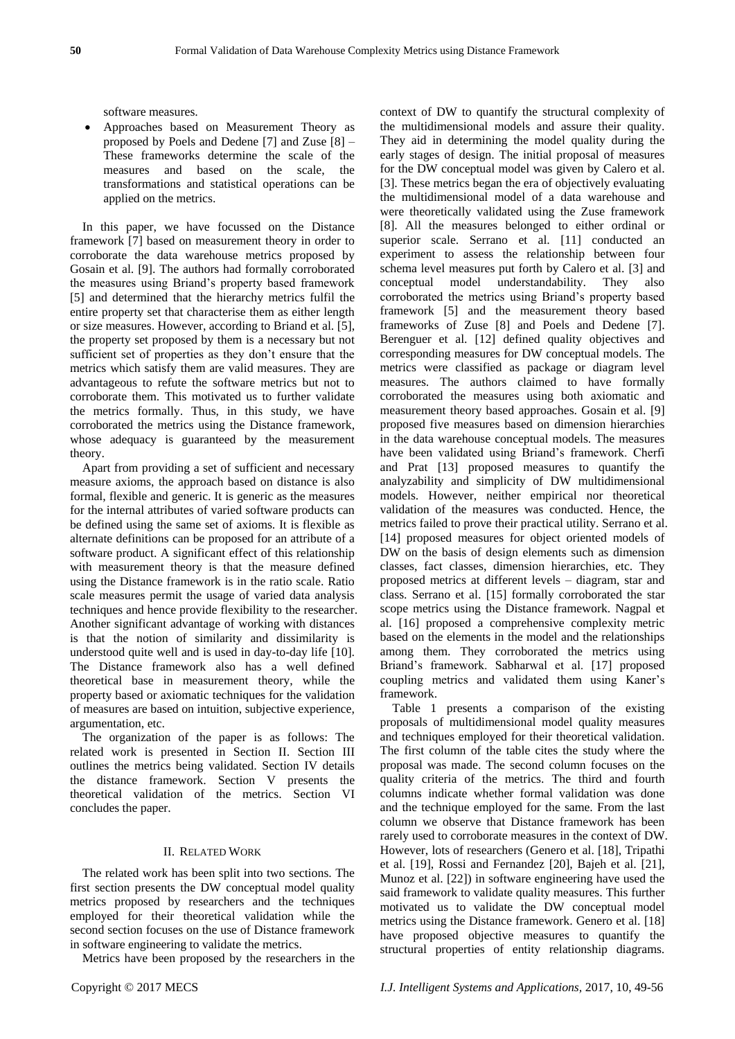software measures.

 Approaches based on Measurement Theory as proposed by Poels and Dedene [7] and Zuse [8] – These frameworks determine the scale of the measures and based on the scale, the transformations and statistical operations can be applied on the metrics.

In this paper, we have focussed on the Distance framework [7] based on measurement theory in order to corroborate the data warehouse metrics proposed by Gosain et al. [9]. The authors had formally corroborated the measures using Briand's property based framework [5] and determined that the hierarchy metrics fulfil the entire property set that characterise them as either length or size measures. However, according to Briand et al. [5], the property set proposed by them is a necessary but not sufficient set of properties as they don't ensure that the metrics which satisfy them are valid measures. They are advantageous to refute the software metrics but not to corroborate them. This motivated us to further validate the metrics formally. Thus, in this study, we have corroborated the metrics using the Distance framework, whose adequacy is guaranteed by the measurement theory.

Apart from providing a set of sufficient and necessary measure axioms, the approach based on distance is also formal, flexible and generic. It is generic as the measures for the internal attributes of varied software products can be defined using the same set of axioms. It is flexible as alternate definitions can be proposed for an attribute of a software product. A significant effect of this relationship with measurement theory is that the measure defined using the Distance framework is in the ratio scale. Ratio scale measures permit the usage of varied data analysis techniques and hence provide flexibility to the researcher. Another significant advantage of working with distances is that the notion of similarity and dissimilarity is understood quite well and is used in day-to-day life [10]. The Distance framework also has a well defined theoretical base in measurement theory, while the property based or axiomatic techniques for the validation of measures are based on intuition, subjective experience, argumentation, etc.

The organization of the paper is as follows: The related work is presented in Section II. Section III outlines the metrics being validated. Section IV details the distance framework. Section V presents the theoretical validation of the metrics. Section VI concludes the paper.

## II. RELATED WORK

The related work has been split into two sections. The first section presents the DW conceptual model quality metrics proposed by researchers and the techniques employed for their theoretical validation while the second section focuses on the use of Distance framework in software engineering to validate the metrics.

Metrics have been proposed by the researchers in the

context of DW to quantify the structural complexity of the multidimensional models and assure their quality. They aid in determining the model quality during the early stages of design. The initial proposal of measures for the DW conceptual model was given by Calero et al. [3]. These metrics began the era of objectively evaluating the multidimensional model of a data warehouse and were theoretically validated using the Zuse framework [8]. All the measures belonged to either ordinal or superior scale. Serrano et al. [11] conducted an experiment to assess the relationship between four schema level measures put forth by Calero et al. [3] and conceptual model understandability. They also corroborated the metrics using Briand's property based framework [5] and the measurement theory based frameworks of Zuse [8] and Poels and Dedene [7]. Berenguer et al. [12] defined quality objectives and corresponding measures for DW conceptual models. The metrics were classified as package or diagram level measures. The authors claimed to have formally corroborated the measures using both axiomatic and measurement theory based approaches. Gosain et al. [9] proposed five measures based on dimension hierarchies in the data warehouse conceptual models. The measures have been validated using Briand's framework. Cherfi and Prat [13] proposed measures to quantify the analyzability and simplicity of DW multidimensional models. However, neither empirical nor theoretical validation of the measures was conducted. Hence, the metrics failed to prove their practical utility. Serrano et al. [14] proposed measures for object oriented models of DW on the basis of design elements such as dimension classes, fact classes, dimension hierarchies, etc. They proposed metrics at different levels – diagram, star and class. Serrano et al. [15] formally corroborated the star scope metrics using the Distance framework. Nagpal et al. [16] proposed a comprehensive complexity metric based on the elements in the model and the relationships among them. They corroborated the metrics using Briand's framework. Sabharwal et al. [17] proposed coupling metrics and validated them using Kaner's framework.

Table 1 presents a comparison of the existing proposals of multidimensional model quality measures and techniques employed for their theoretical validation. The first column of the table cites the study where the proposal was made. The second column focuses on the quality criteria of the metrics. The third and fourth columns indicate whether formal validation was done and the technique employed for the same. From the last column we observe that Distance framework has been rarely used to corroborate measures in the context of DW. However, lots of researchers (Genero et al. [18], Tripathi et al. [19], Rossi and Fernandez [20], Bajeh et al. [21], Munoz et al. [22]) in software engineering have used the said framework to validate quality measures. This further motivated us to validate the DW conceptual model metrics using the Distance framework. Genero et al. [18] have proposed objective measures to quantify the structural properties of entity relationship diagrams.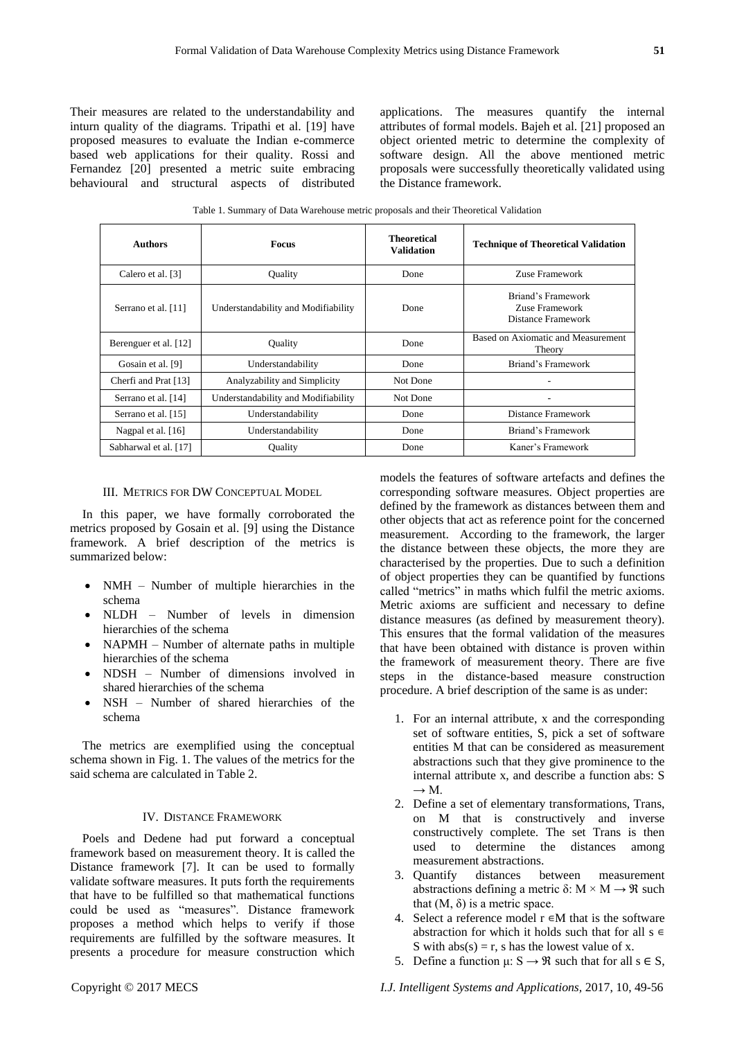Their measures are related to the understandability and inturn quality of the diagrams. Tripathi et al. [19] have proposed measures to evaluate the Indian e-commerce based web applications for their quality. Rossi and Fernandez [20] presented a metric suite embracing behavioural and structural aspects of distributed

applications. The measures quantify the internal attributes of formal models. Bajeh et al. [21] proposed an object oriented metric to determine the complexity of software design. All the above mentioned metric proposals were successfully theoretically validated using the Distance framework.

Table 1. Summary of Data Warehouse metric proposals and their Theoretical Validation

| <b>Authors</b>        | <b>Focus</b>                        | <b>Theoretical</b><br><b>Validation</b> | <b>Technique of Theoretical Validation</b>                 |
|-----------------------|-------------------------------------|-----------------------------------------|------------------------------------------------------------|
| Calero et al. [3]     | Quality                             | Done                                    | Zuse Framework                                             |
| Serrano et al. [11]   | Understandability and Modifiability | Done                                    | Briand's Framework<br>Zuse Framework<br>Distance Framework |
| Berenguer et al. [12] | <b>Ouality</b>                      | Done                                    | Based on Axiomatic and Measurement<br>Theory               |
| Gosain et al. [9]     | Understandability                   | Done                                    | Briand's Framework                                         |
| Cherfi and Prat [13]  | Analyzability and Simplicity        | Not Done                                |                                                            |
| Serrano et al. [14]   | Understandability and Modifiability | Not Done                                |                                                            |
| Serrano et al. [15]   | Understandability                   | Done                                    | Distance Framework                                         |
| Nagpal et al. [16]    | Understandability                   | Done                                    | Briand's Framework                                         |
| Sabharwal et al. [17] | Ouality                             | Done                                    | Kaner's Framework                                          |

## III. METRICS FOR DW CONCEPTUAL MODEL

In this paper, we have formally corroborated the metrics proposed by Gosain et al. [9] using the Distance framework. A brief description of the metrics is summarized below:

- NMH Number of multiple hierarchies in the schema
- NLDH Number of levels in dimension hierarchies of the schema
- NAPMH Number of alternate paths in multiple hierarchies of the schema
- NDSH Number of dimensions involved in shared hierarchies of the schema
- NSH Number of shared hierarchies of the schema

The metrics are exemplified using the conceptual schema shown in Fig. 1. The values of the metrics for the said schema are calculated in Table 2.

## IV. DISTANCE FRAMEWORK

Poels and Dedene had put forward a conceptual framework based on measurement theory. It is called the Distance framework [7]. It can be used to formally validate software measures. It puts forth the requirements that have to be fulfilled so that mathematical functions could be used as "measures". Distance framework proposes a method which helps to verify if those requirements are fulfilled by the software measures. It presents a procedure for measure construction which

models the features of software artefacts and defines the corresponding software measures. Object properties are defined by the framework as distances between them and other objects that act as reference point for the concerned measurement. According to the framework, the larger the distance between these objects, the more they are characterised by the properties. Due to such a definition of object properties they can be quantified by functions called "metrics" in maths which fulfil the metric axioms. Metric axioms are sufficient and necessary to define distance measures (as defined by measurement theory). This ensures that the formal validation of the measures that have been obtained with distance is proven within the framework of measurement theory. There are five steps in the distance-based measure construction procedure. A brief description of the same is as under:

- 1. For an internal attribute, x and the corresponding set of software entities, S, pick a set of software entities M that can be considered as measurement abstractions such that they give prominence to the internal attribute x, and describe a function abs: S  $\rightarrow$  M.
- 2. Define a set of elementary transformations, Trans, on M that is constructively and inverse constructively complete. The set Trans is then used to determine the distances among measurement abstractions.
- 3. Quantify distances between measurement abstractions defining a metric δ:  $M \times M \rightarrow \Re$  such that  $(M, δ)$  is a metric space.
- 4. Select a reference model  $r \in M$  that is the software abstraction for which it holds such that for all  $s \in$ S with  $abs(s) = r$ , s has the lowest value of x.
- 5. Define a function  $\mu: S \to \mathcal{R}$  such that for all  $s \in S$ ,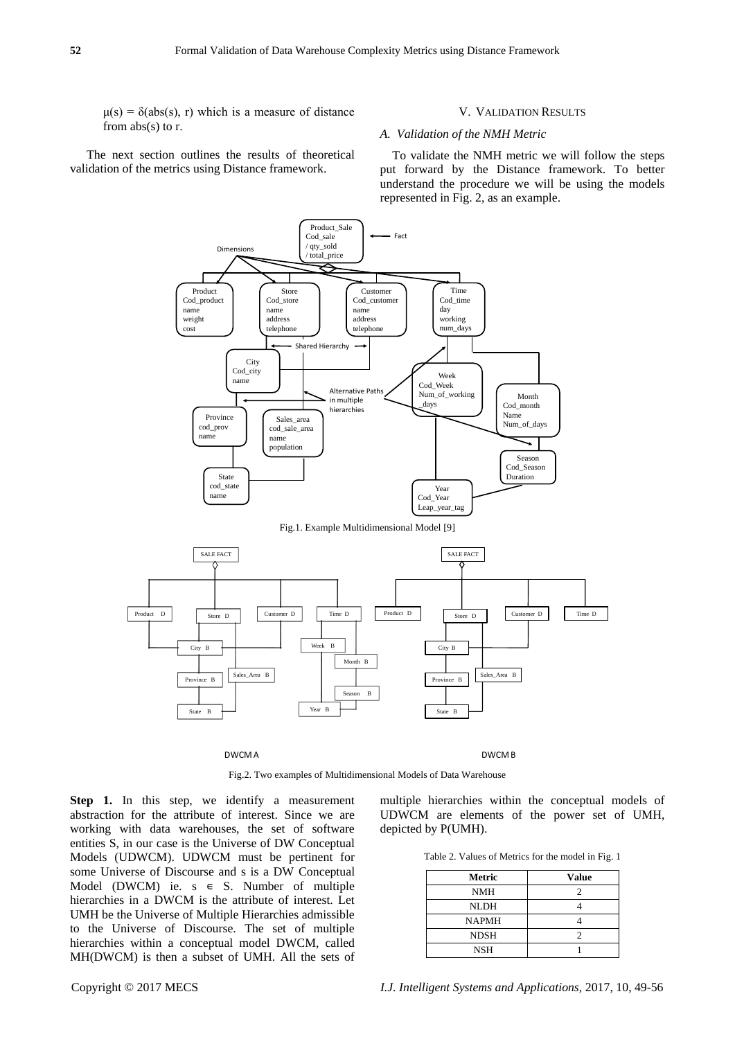$\mu(s) = \delta(abs(s), r)$  which is a measure of distance from abs(s) to r.

The next section outlines the results of theoretical validation of the metrics using Distance framework.

#### V. VALIDATION RESULTS

## *A. Validation of the NMH Metric*

To validate the NMH metric we will follow the steps put forward by the Distance framework. To better understand the procedure we will be using the models represented in Fig. 2, as an example.



Fig.2. Two examples of Multidimensional Models of Data Warehouse

**Step 1.** In this step, we identify a measurement abstraction for the attribute of interest. Since we are working with data warehouses, the set of software entities S, in our case is the Universe of DW Conceptual Models (UDWCM). UDWCM must be pertinent for some Universe of Discourse and s is a DW Conceptual Model (DWCM) ie.  $s \in S$ . Number of multiple hierarchies in a DWCM is the attribute of interest. Let UMH be the Universe of Multiple Hierarchies admissible to the Universe of Discourse. The set of multiple hierarchies within a conceptual model DWCM, called MH(DWCM) is then a subset of UMH. All the sets of multiple hierarchies within the conceptual models of UDWCM are elements of the power set of UMH, depicted by P(UMH).

Table 2. Values of Metrics for the model in Fig. 1

| Metric       | <b>Value</b> |
|--------------|--------------|
| <b>NMH</b>   |              |
| <b>NLDH</b>  |              |
| <b>NAPMH</b> |              |
| <b>NDSH</b>  |              |
| <b>NSH</b>   |              |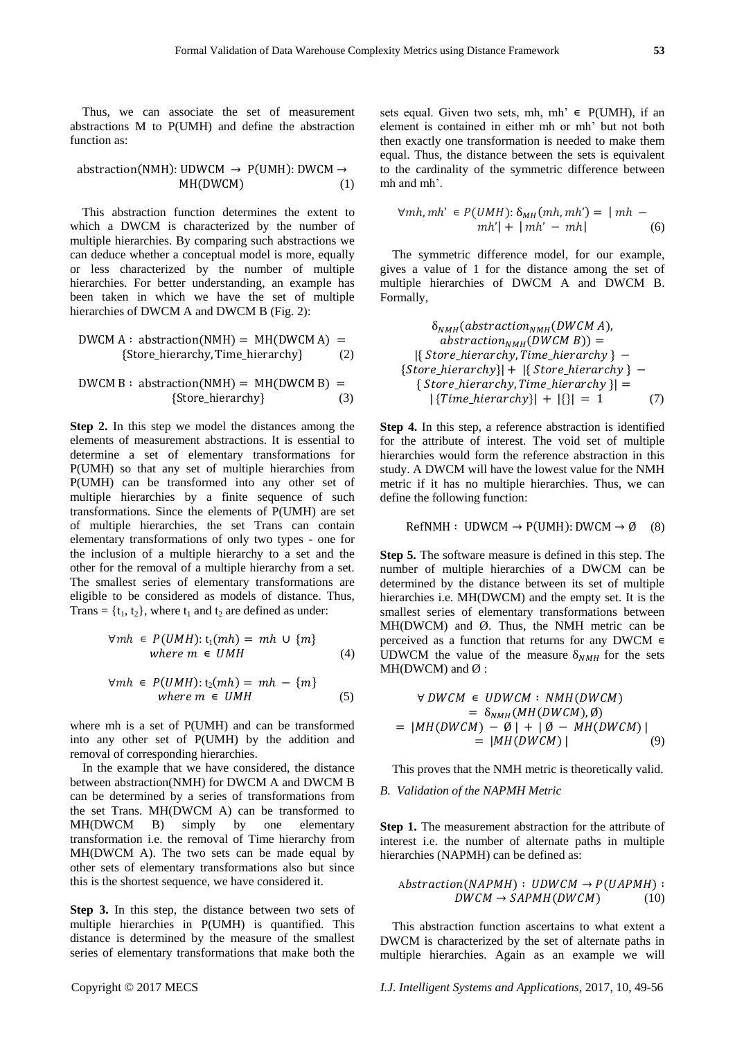Thus, we can associate the set of measurement abstractions M to P(UMH) and define the abstraction function as:

$$
abstraction(NMH):UDWCM \rightarrow P(UMH):DWCM \rightarrow MH(DWCM)
$$
 (1)

This abstraction function determines the extent to which a DWCM is characterized by the number of multiple hierarchies. By comparing such abstractions we can deduce whether a conceptual model is more, equally or less characterized by the number of multiple hierarchies. For better understanding, an example has been taken in which we have the set of multiple hierarchies of DWCM A and DWCM B (Fig. 2):

$$
DWCM A: abstraction(NMH) = MH(DWCM A) = { \text{Store\_hierarchy, Time\_hierarchy} }
$$
 (2)

$$
DWCM B: abstraction(NMH) = MH(DWCM B) = { \{ Store\_hierarchy\} }
$$
 (3)

**Step 2.** In this step we model the distances among the elements of measurement abstractions. It is essential to determine a set of elementary transformations for P(UMH) so that any set of multiple hierarchies from P(UMH) can be transformed into any other set of multiple hierarchies by a finite sequence of such transformations. Since the elements of P(UMH) are set of multiple hierarchies, the set Trans can contain elementary transformations of only two types - one for the inclusion of a multiple hierarchy to a set and the other for the removal of a multiple hierarchy from a set. The smallest series of elementary transformations are eligible to be considered as models of distance. Thus, Trans =  $\{t_1, t_2\}$ , where  $t_1$  and  $t_2$  are defined as under:

$$
\forall mh \in P(UMH): t_1(mh) = mh \cup \{m\}
$$
  
where  $m \in UMH$  (4)

$$
\forall mh \in P(UMH): t_2(mh) = mh - \{m\}
$$
  
where  $m \in UMH$  (5)

where mh is a set of P(UMH) and can be transformed into any other set of P(UMH) by the addition and removal of corresponding hierarchies.

In the example that we have considered, the distance between abstraction(NMH) for DWCM A and DWCM B can be determined by a series of transformations from the set Trans. MH(DWCM A) can be transformed to MH(DWCM B) simply by one elementary transformation i.e. the removal of Time hierarchy from MH(DWCM A). The two sets can be made equal by other sets of elementary transformations also but since this is the shortest sequence, we have considered it.

**Step 3.** In this step, the distance between two sets of multiple hierarchies in P(UMH) is quantified. This distance is determined by the measure of the smallest series of elementary transformations that make both the

sets equal. Given two sets, mh, mh'  $\in$  P(UMH), if an element is contained in either mh or mh' but not both then exactly one transformation is needed to make them equal. Thus, the distance between the sets is equivalent to the cardinality of the symmetric difference between mh and mh'.

$$
\forall mh, mh' \in P(UMH): \delta_{MH}(mh, mh') = | mh - mh| + | mh' - mh|
$$
 (6)

The symmetric difference model, for our example, gives a value of 1 for the distance among the set of multiple hierarchies of DWCM A and DWCM B. Formally,

$$
\delta_{NMH}(abstraction_{NMH}(DWCM\ A),abstraction_{NMH}(DWCM\ B)) =
$$
  
{{Store\_hierarchy,Time\_hierarchy } -  
{Store\_hierarchy}| + {{Store\_hierarchy } -  
{Store\_hierarchy,Time\_hierarchy }| =  
{Time\_hierarchy}| + |{}| = 1 (7)

**Step 4.** In this step, a reference abstraction is identified for the attribute of interest. The void set of multiple hierarchies would form the reference abstraction in this study. A DWCM will have the lowest value for the NMH metric if it has no multiple hierarchies. Thus, we can define the following function:

$$
RefNMH: UDWCM \to P(UMH): DWCM \to \emptyset \quad (8)
$$

**Step 5.** The software measure is defined in this step. The number of multiple hierarchies of a DWCM can be determined by the distance between its set of multiple hierarchies i.e. MH(DWCM) and the empty set. It is the smallest series of elementary transformations between  $MH(DWCM)$  and  $Ø$ . Thus, the NMH metric can be perceived as a function that returns for any DWCM  $∈$ UDWCM the value of the measure  $\delta_{NMH}$  for the sets  $MH(DWCM)$  and  $Ø$  :

$$
\forall DWCM \in UDWCM: NMH(DWCM)
$$
  
=  $\delta_{NMH}(MH(DWCM), \emptyset)$   
=  $|MH(DWCM) - \emptyset| + |\emptyset - MH(DWCM)|$   
=  $|MH(DWCM)|$  (9)

This proves that the NMH metric is theoretically valid.

## *B. Validation of the NAPMH Metric*

**Step 1.** The measurement abstraction for the attribute of interest i.e. the number of alternate paths in multiple hierarchies (NAPMH) can be defined as:

$$
Abstraction(NAPMH): UDWCM \rightarrow P(UAPMH): DWCM \rightarrow SAPMH(DWCM) \qquad (10)
$$

This abstraction function ascertains to what extent a DWCM is characterized by the set of alternate paths in multiple hierarchies. Again as an example we will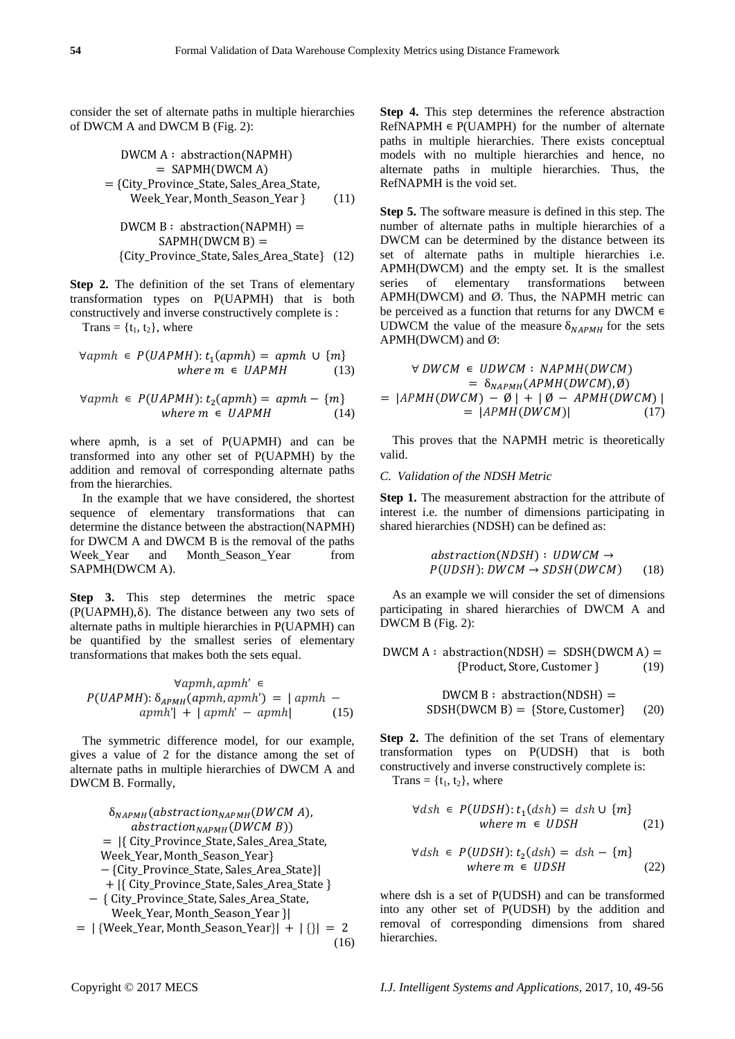consider the set of alternate paths in multiple hierarchies of DWCM A and DWCM B (Fig. 2):

$$
DWCM A: abstraction(NAPMH)
$$
  
= 
$$
SAPMH(DWCM A)
$$
  
= {City\\_Province\\_State, Sales\\_Area\\_State,  
Week\\_Year, Month\\_Season\\_Year } (11)

 ( ) ( ) \* + (12)

Step 2. The definition of the set Trans of elementary transformation types on P(UAPMH) that is both constructively and inverse constructively complete is :

Trans =  $\{t_1, t_2\}$ , where

$$
\forall a p m h \in P(UAPMH): t_1(a p m h) = a p m h \cup \{m\}
$$
  
where  $m \in UAPMH$  (13)

$$
\forall a p m h \in P(UAPMH): t_2(a p m h) = a p m h - \{m\}
$$
  
where  $m \in UAPMH$  (14)

where apmh, is a set of P(UAPMH) and can be transformed into any other set of P(UAPMH) by the addition and removal of corresponding alternate paths from the hierarchies.

In the example that we have considered, the shortest sequence of elementary transformations that can determine the distance between the abstraction(NAPMH) for DWCM A and DWCM B is the removal of the paths Week\_Year and Month\_Season\_Year from SAPMH(DWCM A).

**Step 3.** This step determines the metric space  $(P(UAPMH), \delta)$ . The distance between any two sets of alternate paths in multiple hierarchies in P(UAPMH) can be quantified by the smallest series of elementary transformations that makes both the sets equal.

$$
\forall apmh, apmh' \in P(UAPMH): \delta_{APMH}(apmh, apmh') = |apmh - apmh' - apmh'| + |apmh' - apmh| \qquad (15)
$$

The symmetric difference model, for our example, gives a value of 2 for the distance among the set of alternate paths in multiple hierarchies of DWCM A and DWCM B. Formally,

$$
\delta_{NAPMH}(abstraction_{NAPMH}(DWCM\ A),abstraction_{NAPMH}(DWCM\ B))= |\{ City\_Province\_State, Sales\_Area\_State,Week\_Year, Month\_Season_Year\} - {City\_Province\_State, Sales\_Area\_State}|+ |\{ City\_Province\_State, Sales\_Area\_State\} - { City\_Province\_State, Sales\_Area\_State,Week\_Year, Month\_Season_Year}|= |\{Week\_Year, Month\_Season_Year\}| + |\{| = 2|
$$

**Step 4.** This step determines the reference abstraction  $RefNAPMH \in P(UAMPH)$  for the number of alternate paths in multiple hierarchies. There exists conceptual models with no multiple hierarchies and hence, no alternate paths in multiple hierarchies. Thus, the RefNAPMH is the void set.

**Step 5.** The software measure is defined in this step. The number of alternate paths in multiple hierarchies of a DWCM can be determined by the distance between its set of alternate paths in multiple hierarchies i.e. APMH(DWCM) and the empty set. It is the smallest series of elementary transformations between APMH(DWCM) and Ø. Thus, the NAPMH metric can be perceived as a function that returns for any DWCM  $\in$ UDWCM the value of the measure  $\delta_{NAPMH}$  for the sets APMH(DWCM) and Ø:

$$
\forall DWCM \in UDWCM: NAPMH(DWCM)
$$
  
=  $\delta_{NAPMH}(APMH(DWCM), \emptyset)$   
=  $|APMH(DWCM) - \emptyset| + |\emptyset - APMH(DWCM)|$   
=  $|APMH(DWCM)|$  (17)

This proves that the NAPMH metric is theoretically valid.

## *C. Validation of the NDSH Metric*

**Step 1.** The measurement abstraction for the attribute of interest i.e. the number of dimensions participating in shared hierarchies (NDSH) can be defined as:

$$
abstraction(NDSH): UDWCM \rightarrow P(UDSH): DWCM \rightarrow SDSH(DWCM) \qquad (18)
$$

As an example we will consider the set of dimensions participating in shared hierarchies of DWCM A and DWCM B (Fig. 2):

 $DWCM A: abstraction (NDSH) = SDSH(DWCM A) =$ {Product, Store, Customer } (19)

> $DWCM B: abstraction (NDSH) =$  $SDSH(DWCM B) = {Store, Customer}$  (20)

**Step 2.** The definition of the set Trans of elementary transformation types on P(UDSH) that is both constructively and inverse constructively complete is: Trans =  $\{t_1, t_2\}$ , where

(16)

$$
\forall ds h \in P(UDSH): t_1(dsh) = ds h \cup \{m\}
$$
  
where  $m \in UDSH$  (21)

$$
\forall ds h \in P(UDSH): t_2(dsh) = ds h - \{m\}
$$
  
where  $m \in UDSH$  (22)

where dsh is a set of P(UDSH) and can be transformed into any other set of P(UDSH) by the addition and removal of corresponding dimensions from shared hierarchies.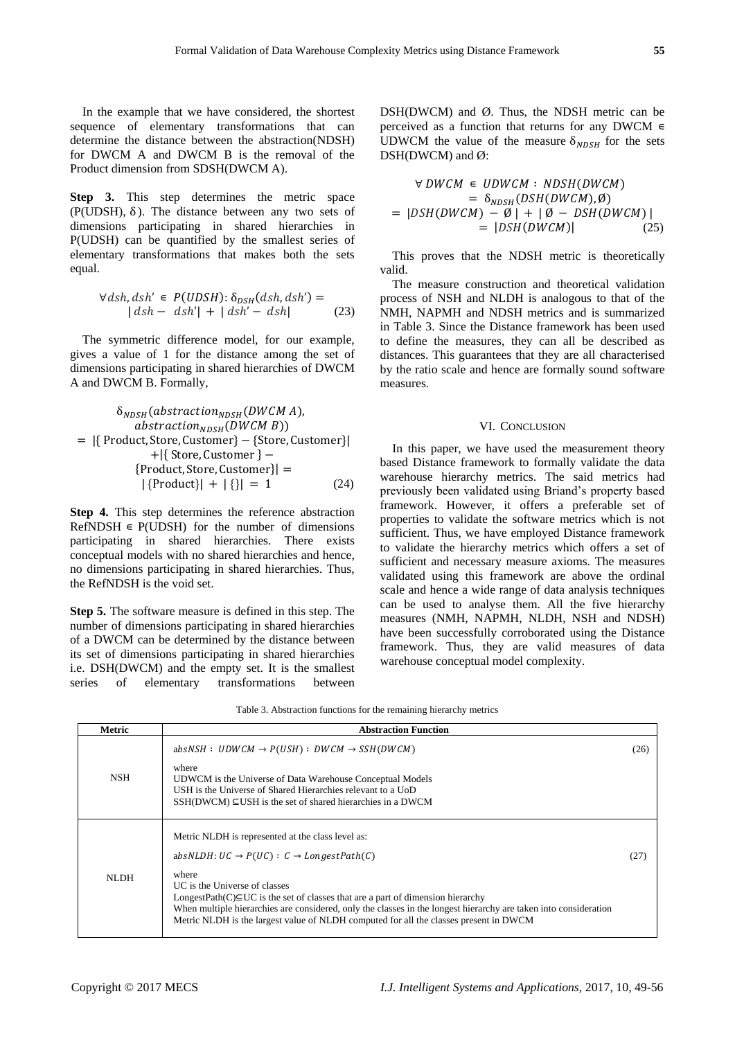In the example that we have considered, the shortest sequence of elementary transformations that can determine the distance between the abstraction(NDSH) for DWCM A and DWCM B is the removal of the Product dimension from SDSH(DWCM A).

**Step 3.** This step determines the metric space (P(UDSH),  $\delta$ ). The distance between any two sets of dimensions participating in shared hierarchies in P(UDSH) can be quantified by the smallest series of elementary transformations that makes both the sets equal.

$$
\forall dsh, dsh' \in P(UDSH): \delta_{DSH}(dsh, dsh') =
$$
  
 
$$
| dsh - dsh'| + | dsh' - dsh|
$$
 (23)

The symmetric difference model, for our example, gives a value of 1 for the distance among the set of dimensions participating in shared hierarchies of DWCM A and DWCM B. Formally,

$$
\delta_{NDSH}(abstraction_{NDSH}(DWCM\ A),abstraction_{NDSH}(DWCM\ B))
$$
\n
$$
= |\{ Product, Store, Customer\} - {Store, Customer\}|+ |\{ Store, Customer\} -{Product, Store, Customer\}||Product, Store, Customer\}| =|{Product}\| + |\{\}| = 1
$$
\n(24)

**Step 4.** This step determines the reference abstraction  $RefNDSH \in P(UDSH)$  for the number of dimensions participating in shared hierarchies. There exists conceptual models with no shared hierarchies and hence, no dimensions participating in shared hierarchies. Thus, the RefNDSH is the void set.

**Step 5.** The software measure is defined in this step. The number of dimensions participating in shared hierarchies of a DWCM can be determined by the distance between its set of dimensions participating in shared hierarchies i.e. DSH(DWCM) and the empty set. It is the smallest series of elementary transformations between

DSH(DWCM) and Ø. Thus, the NDSH metric can be perceived as a function that returns for any DWCM  $\in$ UDWCM the value of the measure  $\delta_{NDSH}$  for the sets DSH(DWCM) and Ø:

$$
\forall DWCM \in UDWCM: NDSH(DWCM)
$$
  
=  $\delta_{NDSH}(DSH(DWCM), \emptyset)$   
= |DSH(DWCM) -  $\emptyset$ | + |  $\emptyset$  -  $DSH(DWCM)$ |  
= |DSH(DWCM)| (25)

This proves that the NDSH metric is theoretically valid.

The measure construction and theoretical validation process of NSH and NLDH is analogous to that of the NMH, NAPMH and NDSH metrics and is summarized in Table 3. Since the Distance framework has been used to define the measures, they can all be described as distances. This guarantees that they are all characterised by the ratio scale and hence are formally sound software measures.

## VI. CONCLUSION

In this paper, we have used the measurement theory based Distance framework to formally validate the data warehouse hierarchy metrics. The said metrics had previously been validated using Briand's property based framework. However, it offers a preferable set of properties to validate the software metrics which is not sufficient. Thus, we have employed Distance framework to validate the hierarchy metrics which offers a set of sufficient and necessary measure axioms. The measures validated using this framework are above the ordinal scale and hence a wide range of data analysis techniques can be used to analyse them. All the five hierarchy measures (NMH, NAPMH, NLDH, NSH and NDSH) have been successfully corroborated using the Distance framework. Thus, they are valid measures of data warehouse conceptual model complexity.

Table 3. Abstraction functions for the remaining hierarchy metrics

| Metric     | <b>Abstraction Function</b>                                                                                                                                                                                                                                                                                                                                                                                                                                              |      |
|------------|--------------------------------------------------------------------------------------------------------------------------------------------------------------------------------------------------------------------------------------------------------------------------------------------------------------------------------------------------------------------------------------------------------------------------------------------------------------------------|------|
| <b>NSH</b> | $absNSH : UDWCM \rightarrow P(USH) : DWCM \rightarrow SSH(DWCM)$<br>where<br>UDWCM is the Universe of Data Warehouse Conceptual Models<br>USH is the Universe of Shared Hierarchies relevant to a UoD<br>$SSH(DWCM) \subseteq USH$ is the set of shared hierarchies in a DWCM                                                                                                                                                                                            | (26) |
| NLDH.      | Metric NLDH is represented at the class level as:<br>absNLDH: $UC \rightarrow P(UC) : C \rightarrow LongestPath(C)$<br>where<br>UC is the Universe of classes<br>LongestPath( $C \subseteq UC$ is the set of classes that are a part of dimension hierarchy<br>When multiple hierarchies are considered, only the classes in the longest hierarchy are taken into consideration<br>Metric NLDH is the largest value of NLDH computed for all the classes present in DWCM | (27) |